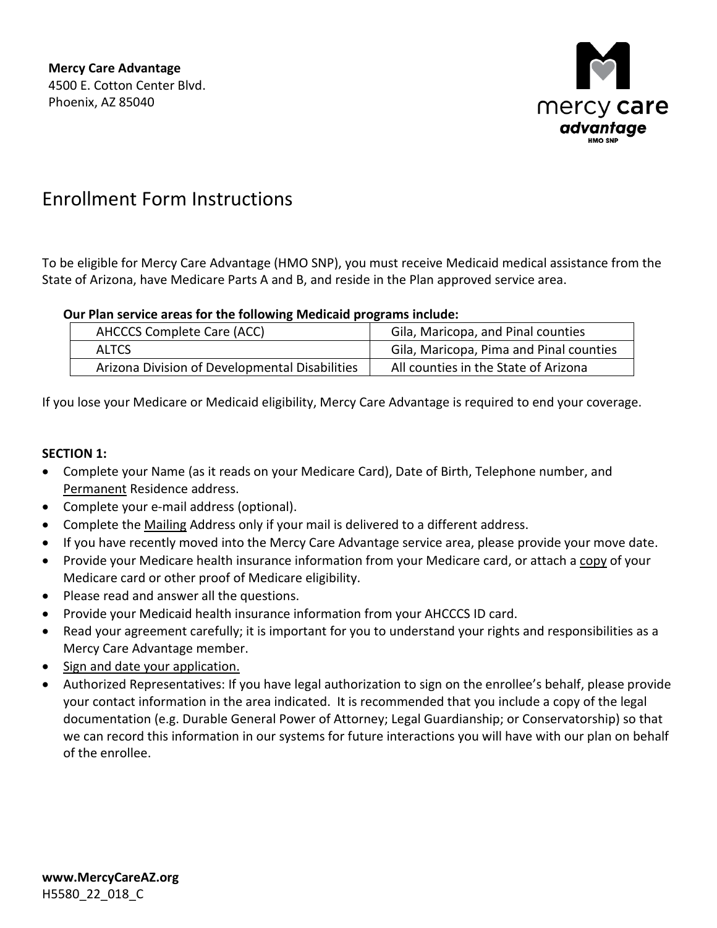

# Enrollment Form Instructions

 To be eligible for Mercy Care Advantage (HMO SNP), you must receive Medicaid medical assistance from the State of Arizona, have Medicare Parts A and B, and reside in the Plan approved service area.

#### **Our Plan service areas for the following Medicaid programs include:**

| <b>AHCCCS Complete Care (ACC)</b>              | Gila, Maricopa, and Pinal counties      |
|------------------------------------------------|-----------------------------------------|
| <b>ALTCS</b>                                   | Gila, Maricopa, Pima and Pinal counties |
| Arizona Division of Developmental Disabilities | All counties in the State of Arizona    |

If you lose your Medicare or Medicaid eligibility, Mercy Care Advantage is required to end your coverage.

#### **SECTION 1:**

- Complete your Name (as it reads on your Medicare Card), Date of Birth, Telephone number, and Permanent Residence address.
- Complete your e-mail address (optional).
- Complete the Mailing Address only if your mail is delivered to a different address.
- If you have recently moved into the Mercy Care Advantage service area, please provide your move date.
- Medicare card or other proof of Medicare eligibility. • Provide your Medicare health insurance information from your Medicare card, or attach a copy of your
- Please read and answer all the questions.
- Provide your Medicaid health insurance information from your AHCCCS ID card.
- • Read your agreement carefully; it is important for you to understand your rights and responsibilities as a Mercy Care Advantage member.
- Sign and date your application.
- • Authorized Representatives: If you have legal authorization to sign on the enrollee's behalf, please provide we can record this information in our systems for future interactions you will have with our plan on behalf of the enrollee. your contact information in the area indicated. It is recommended that you include a copy of the legal documentation (e.g. Durable General Power of Attorney; Legal Guardianship; or Conservatorship) so that